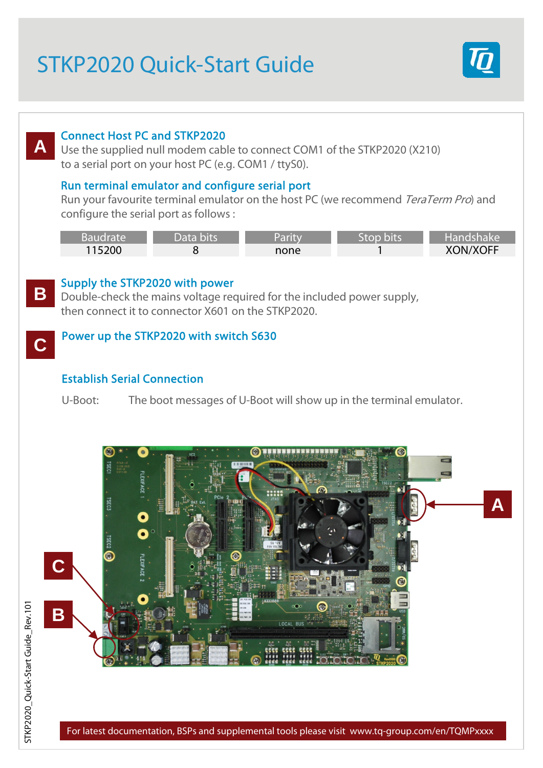# STKP2020 Quick-Start Guide



# Connect Host PC and STKP2020

Use the supplied null modem cable to connect COM1 of the STKP2020 (X210) to a serial port on your host PC (e.g. COM1 / ttyS0).

### Run terminal emulator and configure serial port

Run your favourite terminal emulator on the host PC (we recommend TeraTerm Pro) and configure the serial port as follows :

| <b>Baudrate</b> | Data bits | Parity | Stop bits' | Handshake       |
|-----------------|-----------|--------|------------|-----------------|
| 115200          |           | none   |            | <b>XON/XOFF</b> |



**C**

**A**

### Supply the STKP2020 with power

Double-check the mains voltage required for the included power supply, then connect it to connector X601 on the STKP2020.

### Power up the STKP2020 with switch S630

### Establish Serial Connection

U-Boot: The boot messages of U-Boot will show up in the terminal emulator.



For latest documentation, BSPs and supplemental tools please visit www.tq-group.com/en/TQMPxxxx